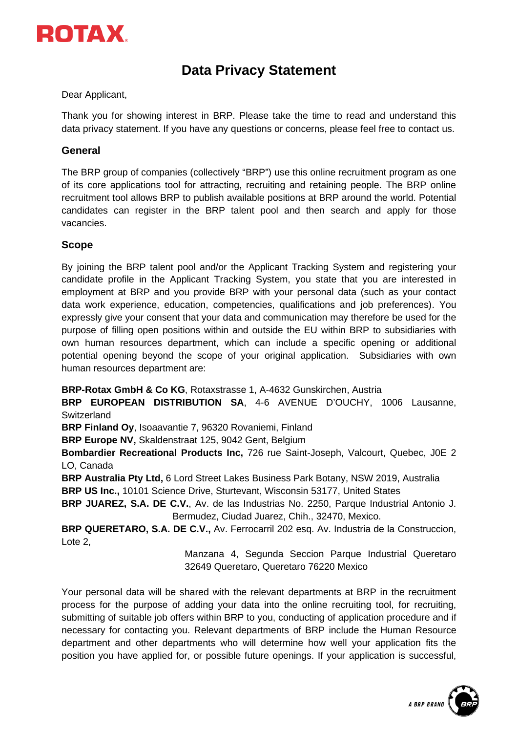

# **Data Privacy Statement**

Dear Applicant,

Thank you for showing interest in BRP. Please take the time to read and understand this data privacy statement. If you have any questions or concerns, please feel free to contact us.

## **General**

The BRP group of companies (collectively "BRP") use this online recruitment program as one of its core applications tool for attracting, recruiting and retaining people. The BRP online recruitment tool allows BRP to publish available positions at BRP around the world. Potential candidates can register in the BRP talent pool and then search and apply for those vacancies.

### **Scope**

By joining the BRP talent pool and/or the Applicant Tracking System and registering your candidate profile in the Applicant Tracking System, you state that you are interested in employment at BRP and you provide BRP with your personal data (such as your contact data work experience, education, competencies, qualifications and job preferences). You expressly give your consent that your data and communication may therefore be used for the purpose of filling open positions within and outside the EU within BRP to subsidiaries with own human resources department, which can include a specific opening or additional potential opening beyond the scope of your original application. Subsidiaries with own human resources department are:

**BRP-Rotax GmbH & Co KG**, Rotaxstrasse 1, A-4632 Gunskirchen, Austria

**BRP EUROPEAN DISTRIBUTION SA**, 4-6 AVENUE D'OUCHY, 1006 Lausanne, **Switzerland** 

**BRP Finland Oy**, Isoaavantie 7, 96320 Rovaniemi, Finland

**BRP Europe NV,** Skaldenstraat 125, 9042 Gent, Belgium

**Bombardier Recreational Products Inc,** 726 rue Saint-Joseph, Valcourt, Quebec, J0E 2 LO, Canada

**BRP Australia Pty Ltd,** 6 Lord Street Lakes Business Park Botany, NSW 2019, Australia **BRP US Inc.,** 10101 Science Drive, Sturtevant, Wisconsin 53177, United States

**BRP JUAREZ, S.A. DE C.V.**, Av. de las Industrias No. 2250, Parque Industrial Antonio J. Bermudez, Ciudad Juarez, Chih., 32470, Mexico.

**BRP QUERETARO, S.A. DE C.V.,** Av. Ferrocarril 202 esq. Av. Industria de la Construccion, Lote 2,

> Manzana 4, Segunda Seccion Parque Industrial Queretaro 32649 Queretaro, Queretaro 76220 Mexico

Your personal data will be shared with the relevant departments at BRP in the recruitment process for the purpose of adding your data into the online recruiting tool, for recruiting, submitting of suitable job offers within BRP to you, conducting of application procedure and if necessary for contacting you. Relevant departments of BRP include the Human Resource department and other departments who will determine how well your application fits the position you have applied for, or possible future openings. If your application is successful,

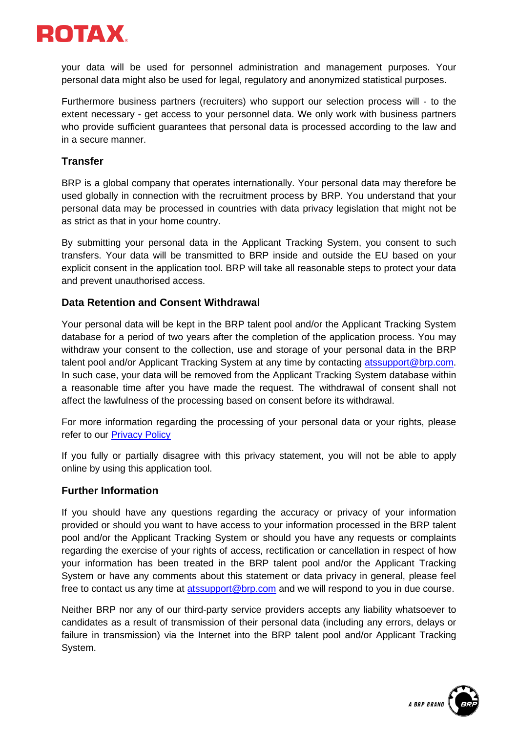

your data will be used for personnel administration and management purposes. Your personal data might also be used for legal, regulatory and anonymized statistical purposes.

Furthermore business partners (recruiters) who support our selection process will - to the extent necessary - get access to your personnel data. We only work with business partners who provide sufficient guarantees that personal data is processed according to the law and in a secure manner.

# **Transfer**

BRP is a global company that operates internationally. Your personal data may therefore be used globally in connection with the recruitment process by BRP. You understand that your personal data may be processed in countries with data privacy legislation that might not be as strict as that in your home country.

By submitting your personal data in the Applicant Tracking System, you consent to such transfers. Your data will be transmitted to BRP inside and outside the EU based on your explicit consent in the application tool. BRP will take all reasonable steps to protect your data and prevent unauthorised access.

## **Data Retention and Consent Withdrawal**

Your personal data will be kept in the BRP talent pool and/or the Applicant Tracking System database for a period of two years after the completion of the application process. You may withdraw your consent to the collection, use and storage of your personal data in the BRP talent pool and/or Applicant Tracking System at any time by contacting [atssupport@brp.com.](mailto:atssupport@brp.com) In such case, your data will be removed from the Applicant Tracking System database within a reasonable time after you have made the request. The withdrawal of consent shall not affect the lawfulness of the processing based on consent before its withdrawal.

For more information regarding the processing of your personal data or your rights, please refer to our [Privacy Policy](https://www.rotax.com/en/contact/privacy-policy.html)

If you fully or partially disagree with this privacy statement, you will not be able to apply online by using this application tool.

#### **Further Information**

If you should have any questions regarding the accuracy or privacy of your information provided or should you want to have access to your information processed in the BRP talent pool and/or the Applicant Tracking System or should you have any requests or complaints regarding the exercise of your rights of access, rectification or cancellation in respect of how your information has been treated in the BRP talent pool and/or the Applicant Tracking System or have any comments about this statement or data privacy in general, please feel free to contact us any time at [atssupport@brp.com](mailto:atssupport@brp.com) and we will respond to you in due course.

Neither BRP nor any of our third-party service providers accepts any liability whatsoever to candidates as a result of transmission of their personal data (including any errors, delays or failure in transmission) via the Internet into the BRP talent pool and/or Applicant Tracking System.